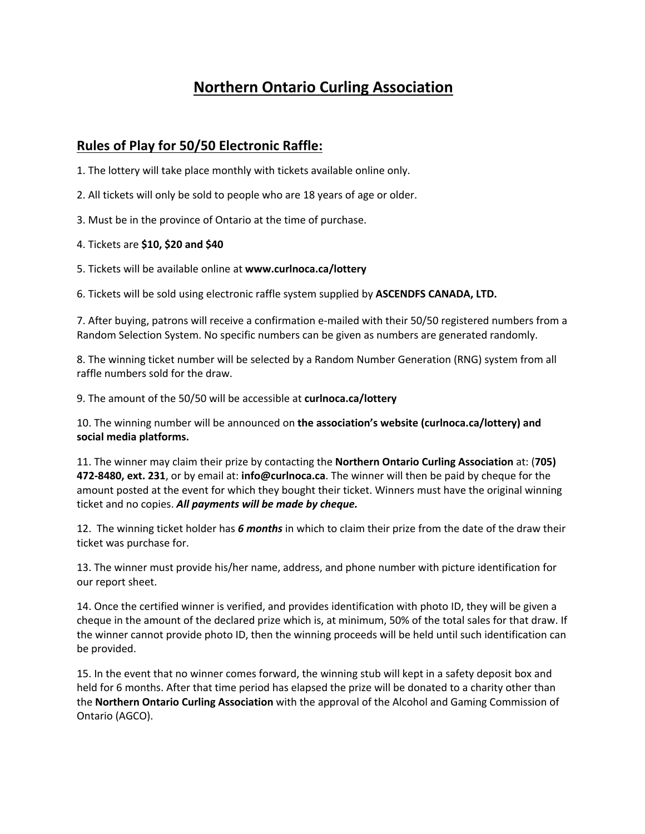## **Northern Ontario Curling Association**

## **Rules of Play for 50/50 Electronic Raffle:**

- 1. The lottery will take place monthly with tickets available online only.
- 2. All tickets will only be sold to people who are 18 years of age or older.
- 3. Must be in the province of Ontario at the time of purchase.
- 4. Tickets are **\$10, \$20 and \$40**
- 5. Tickets will be available online at **www.curlnoca.ca/lottery**

6. Tickets will be sold using electronic raffle system supplied by **ASCENDFS CANADA, LTD.**

7. After buying, patrons will receive a confirmation e-mailed with their 50/50 registered numbers from a Random Selection System. No specific numbers can be given as numbers are generated randomly.

8. The winning ticket number will be selected by a Random Number Generation (RNG) system from all raffle numbers sold for the draw.

9. The amount of the 50/50 will be accessible at **curlnoca.ca/lottery**

10. The winning number will be announced on **the association's website (curlnoca.ca/lottery) and social media platforms.**

11. The winner may claim their prize by contacting the **Northern Ontario Curling Association** at: (**705) 472-8480, ext. 231**, or by email at: **info@curlnoca.ca**. The winner will then be paid by cheque for the amount posted at the event for which they bought their ticket. Winners must have the original winning ticket and no copies. *All payments will be made by cheque.*

12. The winning ticket holder has *6 months* in which to claim their prize from the date of the draw their ticket was purchase for.

13. The winner must provide his/her name, address, and phone number with picture identification for our report sheet.

14. Once the certified winner is verified, and provides identification with photo ID, they will be given a cheque in the amount of the declared prize which is, at minimum, 50% of the total sales for that draw. If the winner cannot provide photo ID, then the winning proceeds will be held until such identification can be provided.

15. In the event that no winner comes forward, the winning stub will kept in a safety deposit box and held for 6 months. After that time period has elapsed the prize will be donated to a charity other than the **Northern Ontario Curling Association** with the approval of the Alcohol and Gaming Commission of Ontario (AGCO).